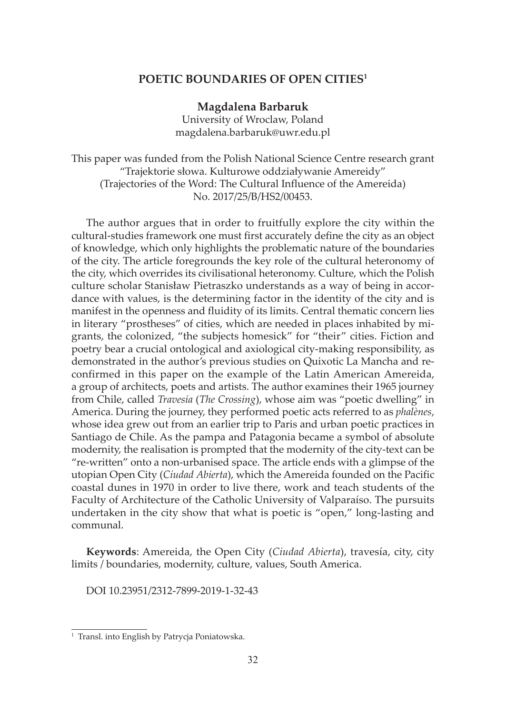## **POETIC BOUNDARIES OF OPEN CITIES1**

## **Magdalena Barbaruk**

University of Wroclaw, Poland magdalena.barbaruk@uwr.edu.pl

This paper was funded from the Polish National Science Centre research grant "Trajektorie słowa. Kulturowe oddziaływanie Amereidy" (Trajectories of the Word: The Cultural Influence of the Amereida) No. 2017/25/B/HS2/00453.

The author argues that in order to fruitfully explore the city within the cultural-studies framework one must first accurately define the city as an object of knowledge, which only highlights the problematic nature of the boundaries of the city. The article foregrounds the key role of the cultural heteronomy of the city, which overrides its civilisational heteronomy. Culture, which the Polish culture scholar Stanisław Pietraszko understands as a way of being in accordance with values, is the determining factor in the identity of the city and is manifest in the openness and fluidity of its limits. Central thematic concern lies in literary "prostheses" of cities, which are needed in places inhabited by migrants, the colonized, "the subjects homesick" for "their" cities. Fiction and poetry bear a crucial ontological and axiological city-making responsibility, as demonstrated in the author's previous studies on Quixotic La Mancha and reconfirmed in this paper on the example of the Latin American Amereida, a group of architects, poets and artists. The author examines their 1965 journey from Chile, called *Travesía* (*The Crossing*), whose aim was "poetic dwelling" in America. During the journey, they performed poetic acts referred to as *phalènes*, whose idea grew out from an earlier trip to Paris and urban poetic practices in Santiago de Chile. As the pampa and Patagonia became a symbol of absolute modernity, the realisation is prompted that the modernity of the city-text can be "re-written" onto a non-urbanised space. The article ends with a glimpse of the utopian Open City (*Ciudad Abierta*), which the Amereida founded on the Pacific coastal dunes in 1970 in order to live there, work and teach students of the Faculty of Architecture of the Catholic University of Valparaíso. The pursuits undertaken in the city show that what is poetic is "open," long-lasting and communal.

**Keywords**: Amereida, the Open City (*Ciudad Abierta*), travesía, city, city limits / boundaries, modernity, culture, values, South America.

DOI 10.23951/2312-7899-2019-1-32-43

<sup>&</sup>lt;sup>1</sup> Transl. into English by Patrycja Poniatowska.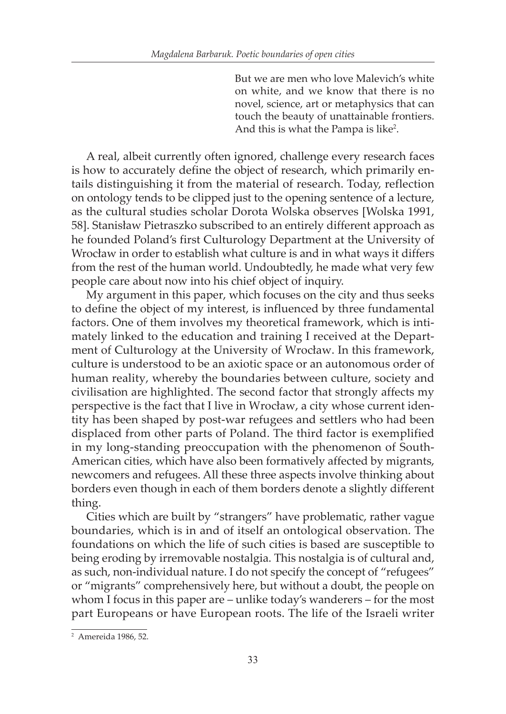But we are men who love Malevich's white on white, and we know that there is no novel, science, art or metaphysics that can touch the beauty of unattainable frontiers. And this is what the Pampa is like<sup>2</sup>.

A real, albeit currently often ignored, challenge every research faces is how to accurately define the object of research, which primarily entails distinguishing it from the material of research. Today, reflection on ontology tends to be clipped just to the opening sentence of a lecture, as the cultural studies scholar Dorota Wolska observes [Wolska 1991, 58]. Stanisław Pietraszko subscribed to an entirely different approach as he founded Poland's first Culturology Department at the University of Wrocław in order to establish what culture is and in what ways it differs from the rest of the human world. Undoubtedly, he made what very few people care about now into his chief object of inquiry.

My argument in this paper, which focuses on the city and thus seeks to define the object of my interest, is influenced by three fundamental factors. One of them involves my theoretical framework, which is intimately linked to the education and training I received at the Department of Culturology at the University of Wrocław. In this framework, culture is understood to be an axiotic space or an autonomous order of human reality, whereby the boundaries between culture, society and civilisation are highlighted. The second factor that strongly affects my perspective is the fact that I live in Wrocław, a city whose current identity has been shaped by post-war refugees and settlers who had been displaced from other parts of Poland. The third factor is exemplified in my long-standing preoccupation with the phenomenon of South-American cities, which have also been formatively affected by migrants, newcomers and refugees. All these three aspects involve thinking about borders even though in each of them borders denote a slightly different thing.

Cities which are built by "strangers" have problematic, rather vague boundaries, which is in and of itself an ontological observation. The foundations on which the life of such cities is based are susceptible to being eroding by irremovable nostalgia. This nostalgia is of cultural and, as such, non-individual nature. I do not specify the concept of "refugees" or "migrants" comprehensively here, but without a doubt, the people on whom I focus in this paper are – unlike today's wanderers – for the most part Europeans or have European roots. The life of the Israeli writer

<sup>2</sup> Amereida 1986, 52.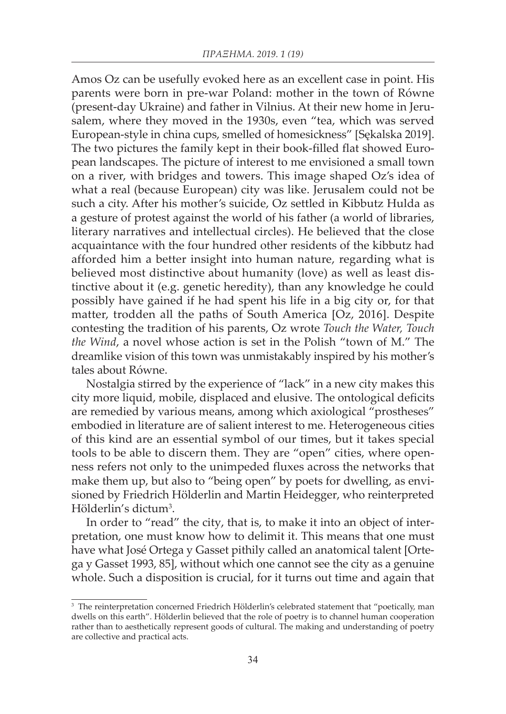Amos Oz can be usefully evoked here as an excellent case in point. His parents were born in pre-war Poland: mother in the town of Równe (present-day Ukraine) and father in Vilnius. At their new home in Jerusalem, where they moved in the 1930s, even "tea, which was served European-style in china cups, smelled of homesickness" [Sękalska 2019]. The two pictures the family kept in their book-filled flat showed European landscapes. The picture of interest to me envisioned a small town on a river, with bridges and towers. This image shaped Oz's idea of what a real (because European) city was like. Jerusalem could not be such a city. After his mother's suicide, Oz settled in Kibbutz Hulda as a gesture of protest against the world of his father (a world of libraries, literary narratives and intellectual circles). He believed that the close acquaintance with the four hundred other residents of the kibbutz had afforded him a better insight into human nature, regarding what is believed most distinctive about humanity (love) as well as least distinctive about it (e.g. genetic heredity), than any knowledge he could possibly have gained if he had spent his life in a big city or, for that matter, trodden all the paths of South America [Oz, 2016]. Despite contesting the tradition of his parents, Oz wrote *Touch the Water, Touch the Wind*, a novel whose action is set in the Polish "town of M." The dreamlike vision of this town was unmistakably inspired by his mother's tales about Równe.

Nostalgia stirred by the experience of "lack" in a new city makes this city more liquid, mobile, displaced and elusive. The ontological deficits are remedied by various means, among which axiological "prostheses" embodied in literature are of salient interest to me. Heterogeneous cities of this kind are an essential symbol of our times, but it takes special tools to be able to discern them. They are "open" cities, where openness refers not only to the unimpeded fluxes across the networks that make them up, but also to "being open" by poets for dwelling, as envisioned by Friedrich Hölderlin and Martin Heidegger, who reinterpreted Hölderlin's dictum3 .

In order to "read" the city, that is, to make it into an object of interpretation, one must know how to delimit it. This means that one must have what José Ortega y Gasset pithily called an anatomical talent [Ortega y Gasset 1993, 85], without which one cannot see the city as a genuine whole. Such a disposition is crucial, for it turns out time and again that

<sup>&</sup>lt;sup>3</sup> The reinterpretation concerned Friedrich Hölderlin's celebrated statement that "poetically, man dwells on this earth". Hölderlin believed that the role of poetry is to channel human cooperation rather than to aesthetically represent goods of cultural. The making and understanding of poetry are collective and practical acts.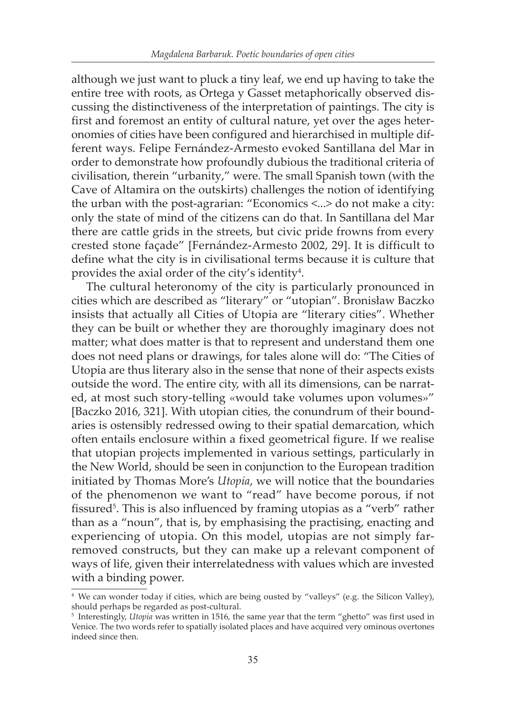although we just want to pluck a tiny leaf, we end up having to take the entire tree with roots, as Ortega y Gasset metaphorically observed discussing the distinctiveness of the interpretation of paintings. The city is first and foremost an entity of cultural nature, yet over the ages heteronomies of cities have been configured and hierarchised in multiple different ways. Felipe Fernández-Armesto evoked Santillana del Mar in order to demonstrate how profoundly dubious the traditional criteria of civilisation, therein "urbanity," were. The small Spanish town (with the Cave of Altamira on the outskirts) challenges the notion of identifying the urban with the post-agrarian: "Economics <...> do not make a city: only the state of mind of the citizens can do that. In Santillana del Mar there are cattle grids in the streets, but civic pride frowns from every crested stone façade" [Fernández-Armesto 2002, 29]. It is difficult to define what the city is in civilisational terms because it is culture that provides the axial order of the city's identity $^4$ .

The cultural heteronomy of the city is particularly pronounced in cities which are described as "literary" or "utopian". Bronisław Baczko insists that actually all Cities of Utopia are "literary cities". Whether they can be built or whether they are thoroughly imaginary does not matter; what does matter is that to represent and understand them one does not need plans or drawings, for tales alone will do: "The Cities of Utopia are thus literary also in the sense that none of their aspects exists outside the word. The entire city, with all its dimensions, can be narrated, at most such story-telling «would take volumes upon volumes»" [Baczko 2016, 321]. With utopian cities, the conundrum of their boundaries is ostensibly redressed owing to their spatial demarcation, which often entails enclosure within a fixed geometrical figure. If we realise that utopian projects implemented in various settings, particularly in the New World, should be seen in conjunction to the European tradition initiated by Thomas More's *Utopia*, we will notice that the boundaries of the phenomenon we want to "read" have become porous, if not fissured<sup>5</sup>. This is also influenced by framing utopias as a "verb" rather than as a "noun", that is, by emphasising the practising, enacting and experiencing of utopia. On this model, utopias are not simply farremoved constructs, but they can make up a relevant component of ways of life, given their interrelatedness with values which are invested with a binding power.

<sup>4</sup> We can wonder today if cities, which are being ousted by "valleys" (e.g. the Silicon Valley), should perhaps be regarded as post-cultural.

<sup>5</sup> Interestingly, *Utopia* was written in 1516, the same year that the term "ghetto" was first used in Venice. The two words refer to spatially isolated places and have acquired very ominous overtones indeed since then.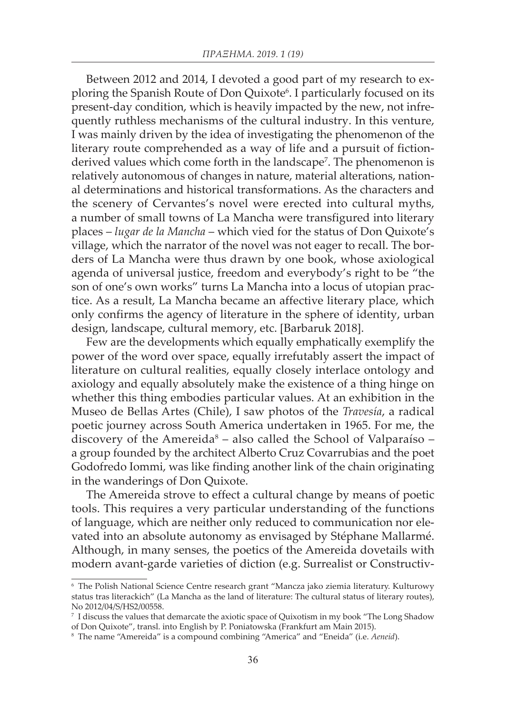Between 2012 and 2014, I devoted a good part of my research to exploring the Spanish Route of Don Quixote<sup>6</sup>. I particularly focused on its present-day condition, which is heavily impacted by the new, not infrequently ruthless mechanisms of the cultural industry. In this venture, I was mainly driven by the idea of investigating the phenomenon of the literary route comprehended as a way of life and a pursuit of fictionderived values which come forth in the landscape<sup>7</sup>. The phenomenon is relatively autonomous of changes in nature, material alterations, national determinations and historical transformations. As the characters and the scenery of Cervantes's novel were erected into cultural myths, a number of small towns of La Mancha were transfigured into literary places – *lugar de la Mancha* – which vied for the status of Don Quixote's village, which the narrator of the novel was not eager to recall. The borders of La Mancha were thus drawn by one book, whose axiological agenda of universal justice, freedom and everybody's right to be "the son of one's own works" turns La Mancha into a locus of utopian practice. As a result, La Mancha became an affective literary place, which only confirms the agency of literature in the sphere of identity, urban design, landscape, cultural memory, etc. [Barbaruk 2018].

Few are the developments which equally emphatically exemplify the power of the word over space, equally irrefutably assert the impact of literature on cultural realities, equally closely interlace ontology and axiology and equally absolutely make the existence of a thing hinge on whether this thing embodies particular values. At an exhibition in the Museo de Bellas Artes (Chile), I saw photos of the *Travesía*, a radical poetic journey across South America undertaken in 1965. For me, the discovery of the Amereida<sup>8</sup> – also called the School of Valparaíso – a group founded by the architect Alberto Cruz Covarrubias and the poet Godofredo Iommi, was like finding another link of the chain originating in the wanderings of Don Quixote.

The Amereida strove to effect a cultural change by means of poetic tools. This requires a very particular understanding of the functions of language, which are neither only reduced to communication nor elevated into an absolute autonomy as envisaged by Stéphane Mallarmé. Although, in many senses, the poetics of the Amereida dovetails with modern avant-garde varieties of diction (e.g. Surrealist or Constructiv-

<sup>6</sup> The Polish National Science Centre research grant "Mancza jako ziemia literatury. Kulturowy status tras literackich" (La Mancha as the land of literature: The cultural status of literary routes), No 2012/04/S/HS2/00558.

<sup>7</sup> I discuss the values that demarcate the axiotic space of Quixotism in my book "The Long Shadow of Don Quixote", transl. into English by P. Poniatowska (Frankfurt am Main 2015).

<sup>8</sup> The name "Amereida" is a compound combining "America" and "Eneida" (i.e. *Aeneid*).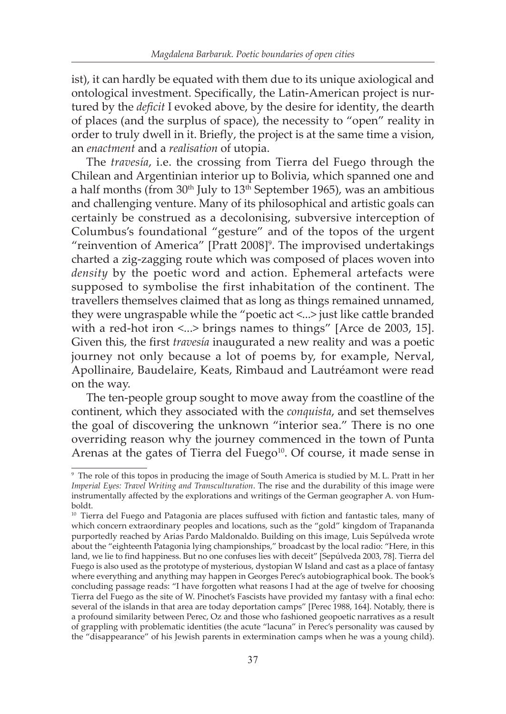ist), it can hardly be equated with them due to its unique axiological and ontological investment. Specifically, the Latin-American project is nurtured by the *deficit* I evoked above, by the desire for identity, the dearth of places (and the surplus of space), the necessity to "open" reality in order to truly dwell in it. Briefly, the project is at the same time a vision, an *enactment* and a *realisation* of utopia.

The *travesía*, i.e. the crossing from Tierra del Fuego through the Chilean and Argentinian interior up to Bolivia, which spanned one and a half months (from  $30<sup>th</sup>$  July to  $13<sup>th</sup>$  September 1965), was an ambitious and challenging venture. Many of its philosophical and artistic goals can certainly be construed as a decolonising, subversive interception of Columbus's foundational "gesture" and of the topos of the urgent "reinvention of America" [Pratt 2008]<sup>9</sup>. The improvised undertakings charted a zig-zagging route which was composed of places woven into *density* by the poetic word and action. Ephemeral artefacts were supposed to symbolise the first inhabitation of the continent. The travellers themselves claimed that as long as things remained unnamed, they were ungraspable while the "poetic act <...> just like cattle branded with a red-hot iron  $\langle \cdot \rangle$  brings names to things" [Arce de 2003, 15]. Given this, the first *travesía* inaugurated a new reality and was a poetic journey not only because a lot of poems by, for example, Nerval, Apollinaire, Baudelaire, Keats, Rimbaud and Lautréamont were read on the way.

The ten-people group sought to move away from the coastline of the continent, which they associated with the *conquista*, and set themselves the goal of discovering the unknown "interior sea." There is no one overriding reason why the journey commenced in the town of Punta Arenas at the gates of Tierra del Fuego<sup>10</sup>. Of course, it made sense in

<sup>9</sup> The role of this topos in producing the image of South America is studied by M. L. Pratt in her *Imperial Eyes: Travel Writing and Transculturation*. The rise and the durability of this image were instrumentally affected by the explorations and writings of the German geographer A. von Humboldt.

<sup>&</sup>lt;sup>10</sup> Tierra del Fuego and Patagonia are places suffused with fiction and fantastic tales, many of which concern extraordinary peoples and locations, such as the "gold" kingdom of Trapananda purportedly reached by Arias Pardo Maldonaldo. Building on this image, Luis Sepúlveda wrote about the "eighteenth Patagonia lying championships," broadcast by the local radio: "Here, in this land, we lie to find happiness. But no one confuses lies with deceit" [Sepúlveda 2003, 78]. Tierra del Fuego is also used as the prototype of mysterious, dystopian W Island and cast as a place of fantasy where everything and anything may happen in Georges Perec's autobiographical book. The book's concluding passage reads: "I have forgotten what reasons I had at the age of twelve for choosing Tierra del Fuego as the site of W. Pinochet's Fascists have provided my fantasy with a final echo: several of the islands in that area are today deportation camps" [Perec 1988, 164]. Notably, there is a profound similarity between Perec, Oz and those who fashioned geopoetic narratives as a result of grappling with problematic identities (the acute "lacuna" in Perec's personality was caused by the "disappearance" of his Jewish parents in extermination camps when he was a young child).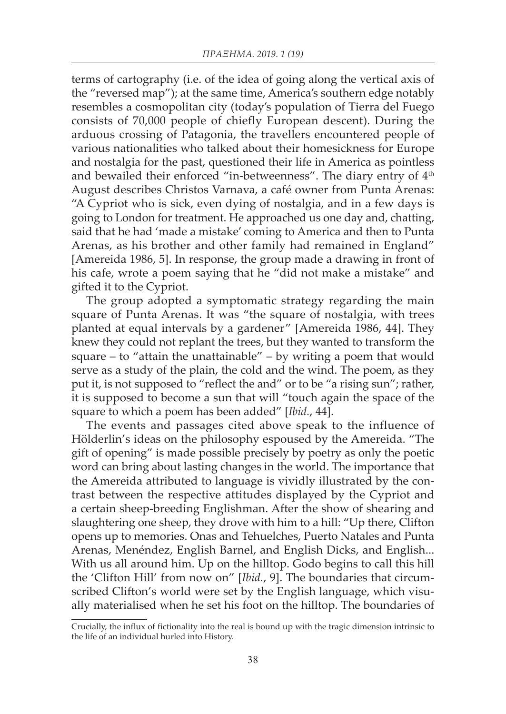terms of cartography (i.e. of the idea of going along the vertical axis of the "reversed map"); at the same time, America's southern edge notably resembles a cosmopolitan city (today's population of Tierra del Fuego consists of 70,000 people of chiefly European descent). During the arduous crossing of Patagonia, the travellers encountered people of various nationalities who talked about their homesickness for Europe and nostalgia for the past, questioned their life in America as pointless and bewailed their enforced "in-betweenness". The diary entry of 4<sup>th</sup> August describes Christos Varnava, a café owner from Punta Arenas: "A Cypriot who is sick, even dying of nostalgia, and in a few days is going to London for treatment. He approached us one day and, chatting, said that he had 'made a mistake' coming to America and then to Punta Arenas, as his brother and other family had remained in England" [Amereida 1986, 5]. In response, the group made a drawing in front of his cafe, wrote a poem saying that he "did not make a mistake" and gifted it to the Cypriot.

The group adopted a symptomatic strategy regarding the main square of Punta Arenas. It was "the square of nostalgia, with trees planted at equal intervals by a gardener" [Amereida 1986, 44]. They knew they could not replant the trees, but they wanted to transform the square – to "attain the unattainable" – by writing a poem that would serve as a study of the plain, the cold and the wind. The poem, as they put it, is not supposed to "reflect the and" or to be "a rising sun"; rather, it is supposed to become a sun that will "touch again the space of the square to which a poem has been added" [*Ibid.*, 44].

The events and passages cited above speak to the influence of Hölderlin's ideas on the philosophy espoused by the Amereida. "The gift of opening" is made possible precisely by poetry as only the poetic word can bring about lasting changes in the world. The importance that the Amereida attributed to language is vividly illustrated by the contrast between the respective attitudes displayed by the Cypriot and a certain sheep-breeding Englishman. After the show of shearing and slaughtering one sheep, they drove with him to a hill: "Up there, Clifton opens up to memories. Onas and Tehuelches, Puerto Natales and Punta Arenas, Menéndez, English Barnel, and English Dicks, and English... With us all around him. Up on the hilltop. Godo begins to call this hill the 'Clifton Hill' from now on" [*Ibid.*, 9]. The boundaries that circumscribed Clifton's world were set by the English language, which visually materialised when he set his foot on the hilltop. The boundaries of

Crucially, the influx of fictionality into the real is bound up with the tragic dimension intrinsic to the life of an individual hurled into History.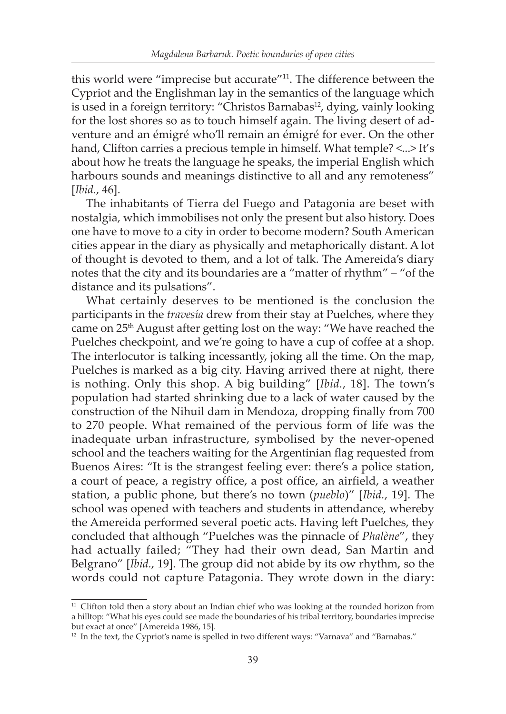this world were "imprecise but accurate"11. The difference between the Cypriot and the Englishman lay in the semantics of the language which is used in a foreign territory: "Christos Barnabas<sup>12</sup>, dying, vainly looking for the lost shores so as to touch himself again. The living desert of adventure and an émigré who'll remain an émigré for ever. On the other hand, Clifton carries a precious temple in himself. What temple?  $\langle ... \rangle$  It's about how he treats the language he speaks, the imperial English which harbours sounds and meanings distinctive to all and any remoteness" [*Ibid.*, 46].

The inhabitants of Tierra del Fuego and Patagonia are beset with nostalgia, which immobilises not only the present but also history. Does one have to move to a city in order to become modern? South American cities appear in the diary as physically and metaphorically distant. A lot of thought is devoted to them, and a lot of talk. The Amereida's diary notes that the city and its boundaries are a "matter of rhythm" – "of the distance and its pulsations".

What certainly deserves to be mentioned is the conclusion the participants in the *travesía* drew from their stay at Puelches, where they came on 25th August after getting lost on the way: "We have reached the Puelches checkpoint, and we're going to have a cup of coffee at a shop. The interlocutor is talking incessantly, joking all the time. On the map, Puelches is marked as a big city. Having arrived there at night, there is nothing. Only this shop. A big building" [*Ibid.*, 18]. The town's population had started shrinking due to a lack of water caused by the construction of the Nihuil dam in Mendoza, dropping finally from 700 to 270 people. What remained of the pervious form of life was the inadequate urban infrastructure, symbolised by the never-opened school and the teachers waiting for the Argentinian flag requested from Buenos Aires: "It is the strangest feeling ever: there's a police station, a court of peace, a registry office, a post office, an airfield, a weather station, a public phone, but there's no town (*pueblo*)" [*Ibid.*, 19]. The school was opened with teachers and students in attendance, whereby the Amereida performed several poetic acts. Having left Puelches, they concluded that although "Puelches was the pinnacle of *Phalène*", they had actually failed; "They had their own dead, San Martin and Belgrano" [*Ibid.*, 19]. The group did not abide by its ow rhythm, so the words could not capture Patagonia. They wrote down in the diary:

<sup>&</sup>lt;sup>11</sup> Clifton told then a story about an Indian chief who was looking at the rounded horizon from a hilltop: "What his eyes could see made the boundaries of his tribal territory, boundaries imprecise but exact at once" [Amereida 1986, 15].

<sup>&</sup>lt;sup>12</sup> In the text, the Cypriot's name is spelled in two different ways: "Varnava" and "Barnabas."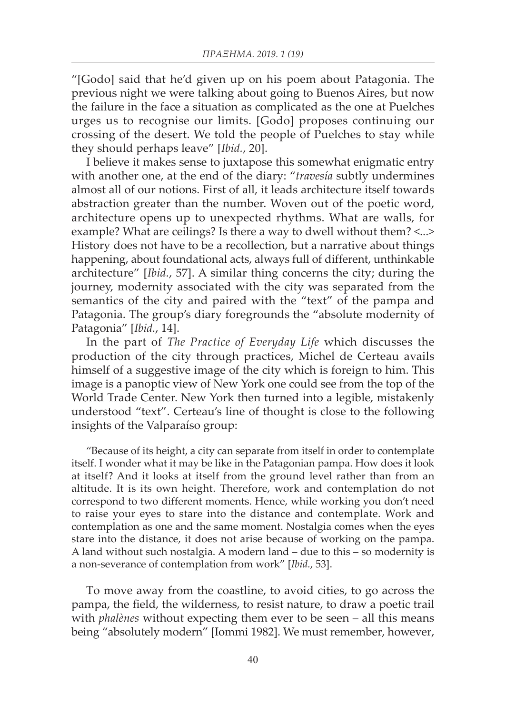"[Godo] said that he'd given up on his poem about Patagonia. The previous night we were talking about going to Buenos Aires, but now the failure in the face a situation as complicated as the one at Puelches urges us to recognise our limits. [Godo] proposes continuing our crossing of the desert. We told the people of Puelches to stay while they should perhaps leave" [*Ibid.*, 20].

I believe it makes sense to juxtapose this somewhat enigmatic entry with another one, at the end of the diary: "*travesía* subtly undermines almost all of our notions. First of all, it leads architecture itself towards abstraction greater than the number. Woven out of the poetic word, architecture opens up to unexpected rhythms. What are walls, for example? What are ceilings? Is there a way to dwell without them? <...> History does not have to be a recollection, but a narrative about things happening, about foundational acts, always full of different, unthinkable architecture" [*Ibid.*, 57]. A similar thing concerns the city; during the journey, modernity associated with the city was separated from the semantics of the city and paired with the "text" of the pampa and Patagonia. The group's diary foregrounds the "absolute modernity of Patagonia" [*Ibid.*, 14].

In the part of *The Practice of Everyday Life* which discusses the production of the city through practices, Michel de Certeau avails himself of a suggestive image of the city which is foreign to him. This image is a panoptic view of New York one could see from the top of the World Trade Center. New York then turned into a legible, mistakenly understood "text". Certeau's line of thought is close to the following insights of the Valparaíso group:

"Because of its height, a city can separate from itself in order to contemplate itself. I wonder what it may be like in the Patagonian pampa. How does it look at itself? And it looks at itself from the ground level rather than from an altitude. It is its own height. Therefore, work and contemplation do not correspond to two different moments. Hence, while working you don't need to raise your eyes to stare into the distance and contemplate. Work and contemplation as one and the same moment. Nostalgia comes when the eyes stare into the distance, it does not arise because of working on the pampa. A land without such nostalgia. A modern land – due to this – so modernity is a non-severance of contemplation from work" [*Ibid.*, 53].

To move away from the coastline, to avoid cities, to go across the pampa, the field, the wilderness, to resist nature, to draw a poetic trail with *phalènes* without expecting them ever to be seen – all this means being "absolutely modern" [Iommi 1982]. We must remember, however,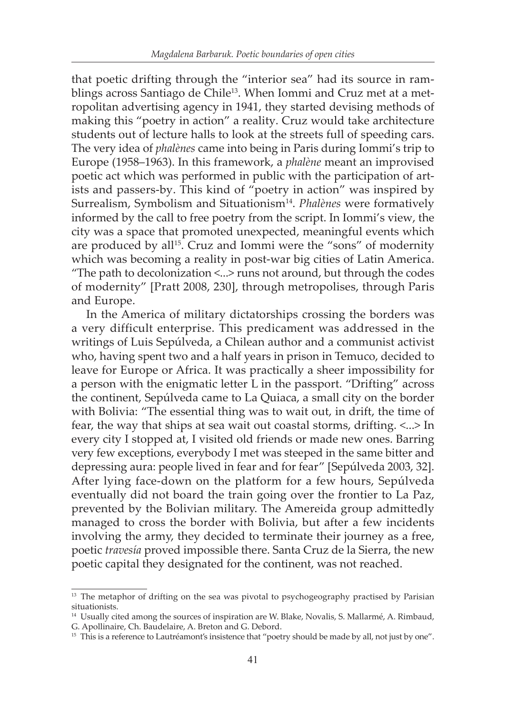that poetic drifting through the "interior sea" had its source in ramblings across Santiago de Chile<sup>13</sup>. When Iommi and Cruz met at a metropolitan advertising agency in 1941, they started devising methods of making this "poetry in action" a reality. Cruz would take architecture students out of lecture halls to look at the streets full of speeding cars. The very idea of *phalènes* came into being in Paris during Iommi's trip to Europe (1958–1963). In this framework, a *phalène* meant an improvised poetic act which was performed in public with the participation of artists and passers-by. This kind of "poetry in action" was inspired by Surrealism, Symbolism and Situationism14. *Phalènes* were formatively informed by the call to free poetry from the script. In Iommi's view, the city was a space that promoted unexpected, meaningful events which are produced by all<sup>15</sup>. Cruz and Iommi were the "sons" of modernity which was becoming a reality in post-war big cities of Latin America. "The path to decolonization <...> runs not around, but through the codes of modernity" [Pratt 2008, 230], through metropolises, through Paris and Europe.

In the America of military dictatorships crossing the borders was a very difficult enterprise. This predicament was addressed in the writings of Luis Sepúlveda, a Chilean author and a communist activist who, having spent two and a half years in prison in Temuco, decided to leave for Europe or Africa. It was practically a sheer impossibility for a person with the enigmatic letter L in the passport. "Drifting" across the continent, Sepúlveda came to La Quiaca, a small city on the border with Bolivia: "The essential thing was to wait out, in drift, the time of fear, the way that ships at sea wait out coastal storms, drifting. <...> In every city I stopped at, I visited old friends or made new ones. Barring very few exceptions, everybody I met was steeped in the same bitter and depressing aura: people lived in fear and for fear" [Sepúlveda 2003, 32]. After lying face-down on the platform for a few hours, Sepúlveda eventually did not board the train going over the frontier to La Paz, prevented by the Bolivian military. The Amereida group admittedly managed to cross the border with Bolivia, but after a few incidents involving the army, they decided to terminate their journey as a free, poetic *travesía* proved impossible there. Santa Cruz de la Sierra, the new poetic capital they designated for the continent, was not reached.

<sup>&</sup>lt;sup>13</sup> The metaphor of drifting on the sea was pivotal to psychogeography practised by Parisian situationists.

<sup>&</sup>lt;sup>14</sup> Usually cited among the sources of inspiration are W. Blake, Novalis, S. Mallarmé, A. Rimbaud, G. Apollinaire, Ch. Baudelaire, A. Breton and G. Debord.

<sup>&</sup>lt;sup>15</sup> This is a reference to Lautréamont's insistence that "poetry should be made by all, not just by one".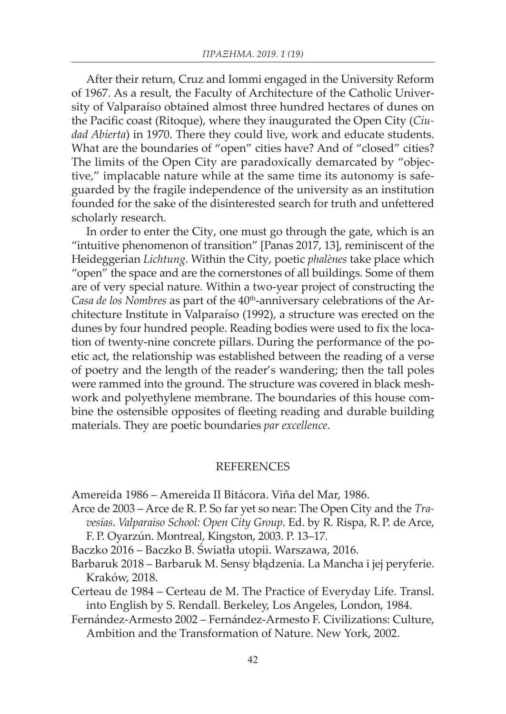After their return, Cruz and Iommi engaged in the University Reform of 1967. As a result, the Faculty of Architecture of the Catholic University of Valparaíso obtained almost three hundred hectares of dunes on the Pacific coast (Ritoque), where they inaugurated the Open City (*Ciudad Abierta*) in 1970. There they could live, work and educate students. What are the boundaries of "open" cities have? And of "closed" cities? The limits of the Open City are paradoxically demarcated by "objective," implacable nature while at the same time its autonomy is safeguarded by the fragile independence of the university as an institution founded for the sake of the disinterested search for truth and unfettered scholarly research.

In order to enter the City, one must go through the gate, which is an "intuitive phenomenon of transition" [Panas 2017, 13], reminiscent of the Heideggerian *Lichtung*. Within the City, poetic *phalènes* take place which "open" the space and are the cornerstones of all buildings. Some of them are of very special nature. Within a two-year project of constructing the *Casa de los Nombres* as part of the 40<sup>th</sup>-anniversary celebrations of the Architecture Institute in Valparaíso (1992), a structure was erected on the dunes by four hundred people. Reading bodies were used to fix the location of twenty-nine concrete pillars. During the performance of the poetic act, the relationship was established between the reading of a verse of poetry and the length of the reader's wandering; then the tall poles were rammed into the ground. The structure was covered in black meshwork and polyethylene membrane. The boundaries of this house combine the ostensible opposites of fleeting reading and durable building materials. They are poetic boundaries *par excellence*.

## **REFERENCES**

Amereida 1986 – Amereida II Bitácora. Viña del Mar, 1986.

- Arce de 2003 Arce de R. P. So far yet so near: The Open City and the *Travesías*. *Valparaiso School: Open City Group*. Ed. by R. Rispa, R. P. de Arce, F. P. Oyarzún. Montreal, Kingston, 2003. P. 13–17.
- Baczko 2016 Baczko B. Światła utopii. Warszawa, 2016.
- Barbaruk 2018 Barbaruk M. Sensy błądzenia. La Mancha i jej peryferie. Kraków, 2018.
- Certeau de 1984 Certeau de M. The Practice of Everyday Life. Transl. into English by S. Rendall. Berkeley, Los Angeles, London, 1984.
- Fernández-Armesto 2002 Fernández-Armesto F. Civilizations: Culture, Ambition and the Transformation of Nature. New York, 2002.